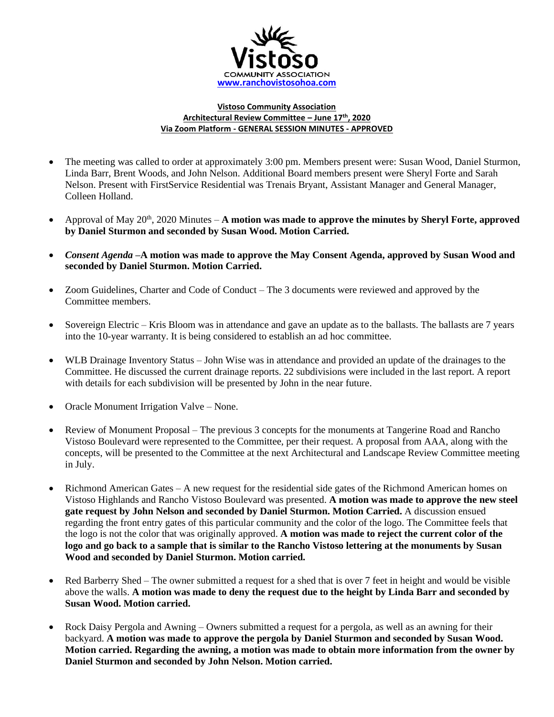

## **Vistoso Community Association Architectural Review Committee – June 17th , 2020 Via Zoom Platform - GENERAL SESSION MINUTES - APPROVED**

- The meeting was called to order at approximately 3:00 pm. Members present were: Susan Wood, Daniel Sturmon, Linda Barr, Brent Woods, and John Nelson. Additional Board members present were Sheryl Forte and Sarah Nelson. Present with FirstService Residential was Trenais Bryant, Assistant Manager and General Manager, Colleen Holland.
- Approval of May 20<sup>th</sup>, 2020 Minutes A motion was made to approve the minutes by Sheryl Forte, approved **by Daniel Sturmon and seconded by Susan Wood. Motion Carried.**
- *Consent Agenda –***A motion was made to approve the May Consent Agenda, approved by Susan Wood and seconded by Daniel Sturmon. Motion Carried.**
- Zoom Guidelines, Charter and Code of Conduct The 3 documents were reviewed and approved by the Committee members.
- Sovereign Electric Kris Bloom was in attendance and gave an update as to the ballasts. The ballasts are 7 years into the 10-year warranty. It is being considered to establish an ad hoc committee.
- WLB Drainage Inventory Status John Wise was in attendance and provided an update of the drainages to the Committee. He discussed the current drainage reports. 22 subdivisions were included in the last report. A report with details for each subdivision will be presented by John in the near future.
- Oracle Monument Irrigation Valve None.
- Review of Monument Proposal The previous 3 concepts for the monuments at Tangerine Road and Rancho Vistoso Boulevard were represented to the Committee, per their request. A proposal from AAA, along with the concepts, will be presented to the Committee at the next Architectural and Landscape Review Committee meeting in July.
- Richmond American Gates A new request for the residential side gates of the Richmond American homes on Vistoso Highlands and Rancho Vistoso Boulevard was presented. **A motion was made to approve the new steel gate request by John Nelson and seconded by Daniel Sturmon. Motion Carried.** A discussion ensued regarding the front entry gates of this particular community and the color of the logo. The Committee feels that the logo is not the color that was originally approved. **A motion was made to reject the current color of the logo and go back to a sample that is similar to the Rancho Vistoso lettering at the monuments by Susan Wood and seconded by Daniel Sturmon. Motion carried.**
- Red Barberry Shed The owner submitted a request for a shed that is over 7 feet in height and would be visible above the walls. **A motion was made to deny the request due to the height by Linda Barr and seconded by Susan Wood. Motion carried.**
- Rock Daisy Pergola and Awning Owners submitted a request for a pergola, as well as an awning for their backyard. **A motion was made to approve the pergola by Daniel Sturmon and seconded by Susan Wood. Motion carried. Regarding the awning, a motion was made to obtain more information from the owner by Daniel Sturmon and seconded by John Nelson. Motion carried.**